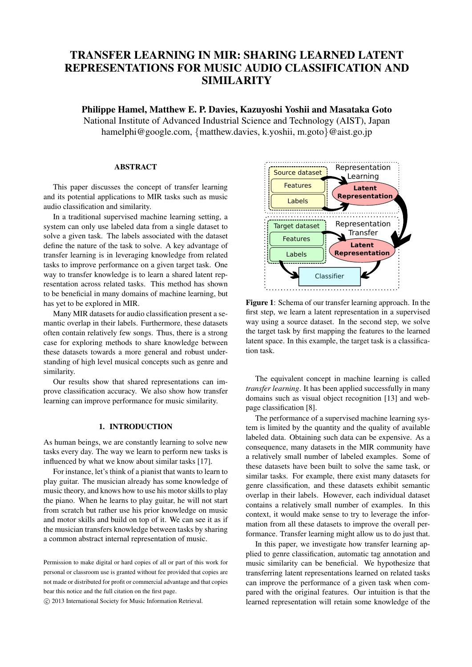# TRANSFER LEARNING IN MIR: SHARING LEARNED LATENT REPRESENTATIONS FOR MUSIC AUDIO CLASSIFICATION AND SIMILARITY

Philippe Hamel, Matthew E. P. Davies, Kazuyoshi Yoshii and Masataka Goto National Institute of Advanced Industrial Science and Technology (AIST), Japan hamelphi@google.com, {matthew.davies, k.yoshii, m.goto}@aist.go.jp

## ABSTRACT

This paper discusses the concept of transfer learning and its potential applications to MIR tasks such as music audio classification and similarity.

In a traditional supervised machine learning setting, a system can only use labeled data from a single dataset to solve a given task. The labels associated with the dataset define the nature of the task to solve. A key advantage of transfer learning is in leveraging knowledge from related tasks to improve performance on a given target task. One way to transfer knowledge is to learn a shared latent representation across related tasks. This method has shown to be beneficial in many domains of machine learning, but has yet to be explored in MIR.

Many MIR datasets for audio classification present a semantic overlap in their labels. Furthermore, these datasets often contain relatively few songs. Thus, there is a strong case for exploring methods to share knowledge between these datasets towards a more general and robust understanding of high level musical concepts such as genre and similarity.

Our results show that shared representations can improve classification accuracy. We also show how transfer learning can improve performance for music similarity.

## 1. INTRODUCTION

As human beings, we are constantly learning to solve new tasks every day. The way we learn to perform new tasks is influenced by what we know about similar tasks [17].

For instance, let's think of a pianist that wants to learn to play guitar. The musician already has some knowledge of music theory, and knows how to use his motor skills to play the piano. When he learns to play guitar, he will not start from scratch but rather use his prior knowledge on music and motor skills and build on top of it. We can see it as if the musician transfers knowledge between tasks by sharing a common abstract internal representation of music.

c 2013 International Society for Music Information Retrieval.



Figure 1: Schema of our transfer learning approach. In the first step, we learn a latent representation in a supervised way using a source dataset. In the second step, we solve the target task by first mapping the features to the learned latent space. In this example, the target task is a classification task.

The equivalent concept in machine learning is called *transfer learning*. It has been applied successfully in many domains such as visual object recognition [13] and webpage classification [8].

The performance of a supervised machine learning system is limited by the quantity and the quality of available labeled data. Obtaining such data can be expensive. As a consequence, many datasets in the MIR community have a relatively small number of labeled examples. Some of these datasets have been built to solve the same task, or similar tasks. For example, there exist many datasets for genre classification, and these datasets exhibit semantic overlap in their labels. However, each individual dataset contains a relatively small number of examples. In this context, it would make sense to try to leverage the information from all these datasets to improve the overall performance. Transfer learning might allow us to do just that.

In this paper, we investigate how transfer learning applied to genre classification, automatic tag annotation and music similarity can be beneficial. We hypothesize that transferring latent representations learned on related tasks can improve the performance of a given task when compared with the original features. Our intuition is that the learned representation will retain some knowledge of the

Permission to make digital or hard copies of all or part of this work for personal or classroom use is granted without fee provided that copies are not made or distributed for profit or commercial advantage and that copies bear this notice and the full citation on the first page.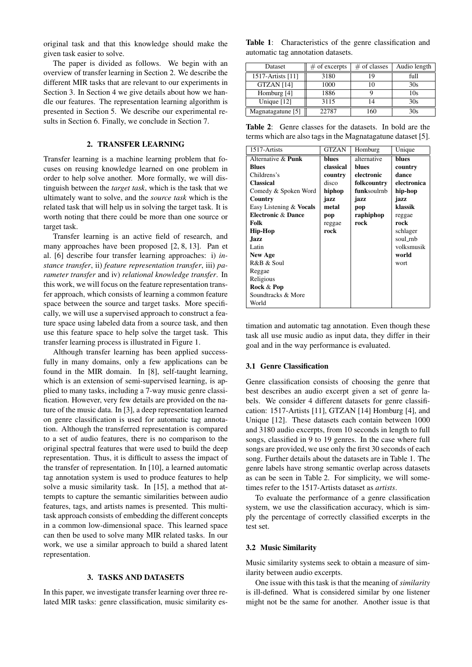original task and that this knowledge should make the given task easier to solve.

The paper is divided as follows. We begin with an overview of transfer learning in Section 2. We describe the different MIR tasks that are relevant to our experiments in Section 3. In Section 4 we give details about how we handle our features. The representation learning algorithm is presented in Section 5. We describe our experimental results in Section 6. Finally, we conclude in Section 7.

## 2. TRANSFER LEARNING

Transfer learning is a machine learning problem that focuses on reusing knowledge learned on one problem in order to help solve another. More formally, we will distinguish between the *target task*, which is the task that we ultimately want to solve, and the *source task* which is the related task that will help us in solving the target task. It is worth noting that there could be more than one source or target task.

Transfer learning is an active field of research, and many approaches have been proposed [2, 8, 13]. Pan et al. [6] describe four transfer learning approaches: i) *instance transfer*, ii) *feature representation transfer*, iii) *parameter transfer* and iv) *relational knowledge transfer*. In this work, we will focus on the feature representation transfer approach, which consists of learning a common feature space between the source and target tasks. More specifically, we will use a supervised approach to construct a feature space using labeled data from a source task, and then use this feature space to help solve the target task. This transfer learning process is illustrated in Figure 1.

Although transfer learning has been applied successfully in many domains, only a few applications can be found in the MIR domain. In [8], self-taught learning, which is an extension of semi-supervised learning, is applied to many tasks, including a 7-way music genre classification. However, very few details are provided on the nature of the music data. In [3], a deep representation learned on genre classification is used for automatic tag annotation. Although the transferred representation is compared to a set of audio features, there is no comparison to the original spectral features that were used to build the deep representation. Thus, it is difficult to assess the impact of the transfer of representation. In [10], a learned automatic tag annotation system is used to produce features to help solve a music similarity task. In [15], a method that attempts to capture the semantic similarities between audio features, tags, and artists names is presented. This multitask approach consists of embedding the different concepts in a common low-dimensional space. This learned space can then be used to solve many MIR related tasks. In our work, we use a similar approach to build a shared latent representation.

## 3. TASKS AND DATASETS

In this paper, we investigate transfer learning over three related MIR tasks: genre classification, music similarity es-

Table 1: Characteristics of the genre classification and automatic tag annotation datasets.

| Dataset           | $#$ of excerpts | $#$ of classes | Audio length |
|-------------------|-----------------|----------------|--------------|
| 1517-Artists [11] | 3180            | 19             | full         |
| <b>GTZAN</b> [14] | 1000            | 10             | 30s          |
| Homburg [4]       | 1886            |                | 10s          |
| Unique $[12]$     | 3115            | 14             | 30s          |
| Magnatagatune [5] | 22787           | 160            | 30s          |

Table 2: Genre classes for the datasets. In bold are the terms which are also tags in the Magnatagatune dataset [5].

| 1517-Artists                  | <b>GTZAN</b> | Homburg             | Unique      |
|-------------------------------|--------------|---------------------|-------------|
| Alternative & Punk            | blues        | alternative         | blues       |
| <b>Blues</b>                  | classical    | blues               | country     |
| Childrens's                   | country      | electronic          | dance       |
| <b>Classical</b>              | disco        | folkcountry         | electronica |
| Comedy & Spoken Word          | hiphop       | <b>funk</b> soulrnb | hip-hop     |
| Country                       | jazz         | jazz                | jazz        |
| Easy Listening & Vocals       | metal        | pop                 | klassik     |
| <b>Electronic &amp; Dance</b> | pop          | raphiphop           | reggae      |
| Folk                          | reggae       | rock                | rock        |
| <b>Hip-Hop</b>                | rock         |                     | schlager    |
| Jazz                          |              |                     | soul_rnb    |
| Latin                         |              |                     | volksmusik  |
| New Age                       |              |                     | world       |
| R&B & Soul                    |              |                     | wort        |
| Reggae                        |              |                     |             |
| Religious                     |              |                     |             |
| Rock & Pop                    |              |                     |             |
| Soundtracks & More            |              |                     |             |
| World                         |              |                     |             |

timation and automatic tag annotation. Even though these task all use music audio as input data, they differ in their goal and in the way performance is evaluated.

#### 3.1 Genre Classification

Genre classification consists of choosing the genre that best describes an audio excerpt given a set of genre labels. We consider 4 different datasets for genre classification: 1517-Artists [11], GTZAN [14] Homburg [4], and Unique [12]. These datasets each contain between 1000 and 3180 audio excerpts, from 10 seconds in length to full songs, classified in 9 to 19 genres. In the case where full songs are provided, we use only the first 30 seconds of each song. Further details about the datasets are in Table 1. The genre labels have strong semantic overlap across datasets as can be seen in Table 2. For simplicity, we will sometimes refer to the 1517-Artists dataset as *artists*.

To evaluate the performance of a genre classification system, we use the classification accuracy, which is simply the percentage of correctly classified excerpts in the test set.

#### 3.2 Music Similarity

Music similarity systems seek to obtain a measure of similarity between audio excerpts.

One issue with this task is that the meaning of *similarity* is ill-defined. What is considered similar by one listener might not be the same for another. Another issue is that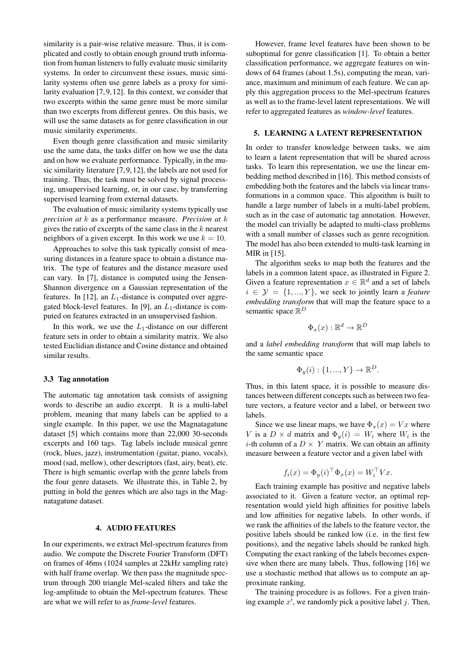similarity is a pair-wise relative measure. Thus, it is complicated and costly to obtain enough ground truth information from human listeners to fully evaluate music similarity systems. In order to circumvent these issues, music similarity systems often use genre labels as a proxy for similarity evaluation [7, 9, 12]. In this context, we consider that two excerpts within the same genre must be more similar than two excerpts from different genres. On this basis, we will use the same datasets as for genre classification in our music similarity experiments.

Even though genre classification and music similarity use the same data, the tasks differ on how we use the data and on how we evaluate performance. Typically, in the music similarity literature [7, 9, 12], the labels are not used for training. Thus, the task must be solved by signal processing, unsupervised learning, or, in our case, by transferring supervised learning from external datasets.

The evaluation of music similarity systems typically use *precision at* k as a performance measure. *Precision at* k gives the ratio of excerpts of the same class in the  $k$  nearest neighbors of a given excerpt. In this work we use  $k = 10$ .

Approaches to solve this task typically consist of measuring distances in a feature space to obtain a distance matrix. The type of features and the distance measure used can vary. In [7], distance is computed using the Jensen-Shannon divergence on a Gaussian representation of the features. In [12], an  $L_1$ -distance is computed over aggregated block-level features. In [9], an  $L_1$ -distance is computed on features extracted in an unsupervised fashion.

In this work, we use the  $L_1$ -distance on our different feature sets in order to obtain a similarity matrix. We also tested Euclidian distance and Cosine distance and obtained similar results.

#### 3.3 Tag annotation

The automatic tag annotation task consists of assigning words to describe an audio excerpt. It is a multi-label problem, meaning that many labels can be applied to a single example. In this paper, we use the Magnatagatune dataset [5] which contains more than 22,000 30-seconds excerpts and 160 tags. Tag labels include musical genre (rock, blues, jazz), instrumentation (guitar, piano, vocals), mood (sad, mellow), other descriptors (fast, airy, beat), etc. There is high semantic overlap with the genre labels from the four genre datasets. We illustrate this, in Table 2, by putting in bold the genres which are also tags in the Magnatagatune dataset.

## 4. AUDIO FEATURES

In our experiments, we extract Mel-spectrum features from audio. We compute the Discrete Fourier Transform (DFT) on frames of 46ms (1024 samples at 22kHz sampling rate) with half frame overlap. We then pass the magnitude spectrum through 200 triangle Mel-scaled filters and take the log-amplitude to obtain the Mel-spectrum features. These are what we will refer to as *frame-level* features.

However, frame level features have been shown to be suboptimal for genre classification [1]. To obtain a better classification performance, we aggregate features on windows of 64 frames (about 1.5s), computing the mean, variance, maximum and minimum of each feature. We can apply this aggregation process to the Mel-spectrum features as well as to the frame-level latent representations. We will refer to aggregated features as *window-level* features.

## 5. LEARNING A LATENT REPRESENTATION

In order to transfer knowledge between tasks, we aim to learn a latent representation that will be shared across tasks. To learn this representation, we use the linear embedding method described in [16]. This method consists of embedding both the features and the labels via linear transformations in a common space. This algorithm is built to handle a large number of labels in a multi-label problem, such as in the case of automatic tag annotation. However, the model can trivially be adapted to multi-class problems with a small number of classes such as genre recognition. The model has also been extended to multi-task learning in MIR in [15].

The algorithm seeks to map both the features and the labels in a common latent space, as illustrated in Figure 2. Given a feature representation  $x \in \mathbb{R}^d$  and a set of labels  $i \in \mathcal{Y} = \{1, ..., Y\}$ , we seek to jointly learn a *feature embedding transform* that will map the feature space to a semantic space  $\mathbb{R}^D$ 

$$
\Phi_x(x): \mathbb{R}^d \to \mathbb{R}^D
$$

and a *label embedding transform* that will map labels to the same semantic space

$$
\Phi_y(i): \{1, ..., Y\} \to \mathbb{R}^D.
$$

Thus, in this latent space, it is possible to measure distances between different concepts such as between two feature vectors, a feature vector and a label, or between two labels.

Since we use linear maps, we have  $\Phi_x(x) = Vx$  where V is a  $D \times d$  matrix and  $\Phi_y(i) = W_i$  where  $W_i$  is the *i*-th column of a  $D \times Y$  matrix. We can obtain an affinity measure between a feature vector and a given label with

$$
f_i(x) = \Phi_y(i)^\top \Phi_x(x) = W_i^\top V x.
$$

Each training example has positive and negative labels associated to it. Given a feature vector, an optimal representation would yield high affinities for positive labels and low affinities for negative labels. In other words, if we rank the affinities of the labels to the feature vector, the positive labels should be ranked low (i.e. in the first few positions), and the negative labels should be ranked high. Computing the exact ranking of the labels becomes expensive when there are many labels. Thus, following [16] we use a stochastic method that allows us to compute an approximate ranking.

The training procedure is as follows. For a given training example  $x'$ , we randomly pick a positive label j. Then,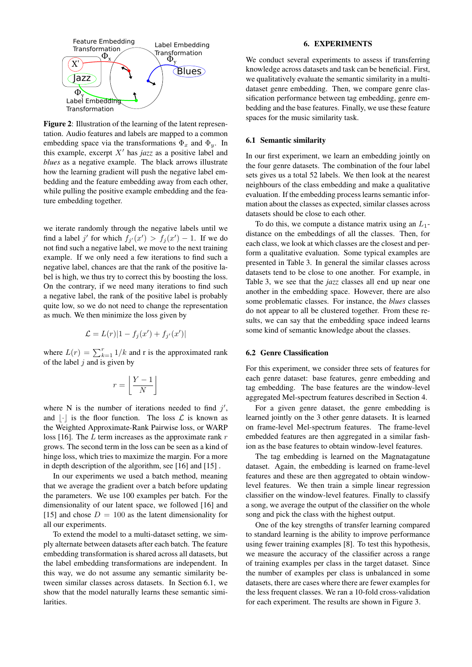

Figure 2: Illustration of the learning of the latent representation. Audio features and labels are mapped to a common embedding space via the transformations  $\Phi_x$  and  $\Phi_y$ . In this example, excerpt  $X'$  has *jazz* as a positive label and *blues* as a negative example. The black arrows illustrate how the learning gradient will push the negative label embedding and the feature embedding away from each other, while pulling the positive example embedding and the feature embedding together.

we iterate randomly through the negative labels until we find a label j' for which  $f_{j'}(x') > f_j(x') - 1$ . If we do not find such a negative label, we move to the next training example. If we only need a few iterations to find such a negative label, chances are that the rank of the positive label is high, we thus try to correct this by boosting the loss. On the contrary, if we need many iterations to find such a negative label, the rank of the positive label is probably quite low, so we do not need to change the representation as much. We then minimize the loss given by

$$
\mathcal{L} = L(r)|1 - f_j(x') + f_{j'}(x')|
$$

where  $L(r) = \sum_{k=1}^{r} 1/k$  and r is the approximated rank of the label  $j$  and is given by

$$
r = \left\lfloor \frac{Y - 1}{N} \right\rfloor
$$

where N is the number of iterations needed to find  $j'$ , and  $\lvert \cdot \rvert$  is the floor function. The loss  $\mathcal L$  is known as the Weighted Approximate-Rank Pairwise loss, or WARP loss [16]. The  $L$  term increases as the approximate rank  $r$ grows. The second term in the loss can be seen as a kind of hinge loss, which tries to maximize the margin. For a more in depth description of the algorithm, see [16] and [15] .

In our experiments we used a batch method, meaning that we average the gradient over a batch before updating the parameters. We use 100 examples per batch. For the dimensionality of our latent space, we followed [16] and [15] and chose  $D = 100$  as the latent dimensionality for all our experiments.

To extend the model to a multi-dataset setting, we simply alternate between datasets after each batch. The feature embedding transformation is shared across all datasets, but the label embedding transformations are independent. In this way, we do not assume any semantic similarity between similar classes across datasets. In Section 6.1, we show that the model naturally learns these semantic similarities.

## 6. EXPERIMENTS

We conduct several experiments to assess if transferring knowledge across datasets and task can be beneficial. First, we qualitatively evaluate the semantic similarity in a multidataset genre embedding. Then, we compare genre classification performance between tag embedding, genre embedding and the base features. Finally, we use these feature spaces for the music similarity task.

## 6.1 Semantic similarity

In our first experiment, we learn an embedding jointly on the four genre datasets. The combination of the four label sets gives us a total 52 labels. We then look at the nearest neighbours of the class embedding and make a qualitative evaluation. If the embedding process learns semantic information about the classes as expected, similar classes across datasets should be close to each other.

To do this, we compute a distance matrix using an  $L_1$ distance on the embeddings of all the classes. Then, for each class, we look at which classes are the closest and perform a qualitative evaluation. Some typical examples are presented in Table 3. In general the similar classes across datasets tend to be close to one another. For example, in Table 3, we see that the *jazz* classes all end up near one another in the embedding space. However, there are also some problematic classes. For instance, the *blues* classes do not appear to all be clustered together. From these results, we can say that the embedding space indeed learns some kind of semantic knowledge about the classes.

#### 6.2 Genre Classification

For this experiment, we consider three sets of features for each genre dataset: base features, genre embedding and tag embedding. The base features are the window-level aggregated Mel-spectrum features described in Section 4.

For a given genre dataset, the genre embedding is learned jointly on the 3 other genre datasets. It is learned on frame-level Mel-spectrum features. The frame-level embedded features are then aggregated in a similar fashion as the base features to obtain window-level features.

The tag embedding is learned on the Magnatagatune dataset. Again, the embedding is learned on frame-level features and these are then aggregated to obtain windowlevel features. We then train a simple linear regression classifier on the window-level features. Finally to classify a song, we average the output of the classifier on the whole song and pick the class with the highest output.

One of the key strengths of transfer learning compared to standard learning is the ability to improve performance using fewer training examples [8]. To test this hypothesis, we measure the accuracy of the classifier across a range of training examples per class in the target dataset. Since the number of examples per class is unbalanced in some datasets, there are cases where there are fewer examples for the less frequent classes. We ran a 10-fold cross-validation for each experiment. The results are shown in Figure 3.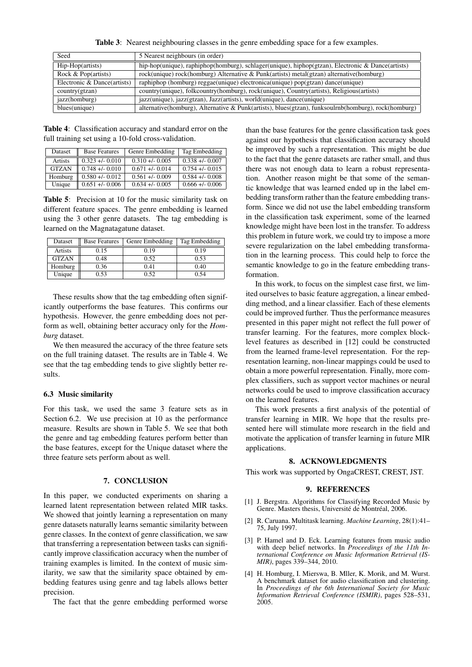Table 3: Nearest neighbouring classes in the genre embedding space for a few examples.

| Seed                        | 5 Nearest neighbours (in order)                                                                      |  |
|-----------------------------|------------------------------------------------------------------------------------------------------|--|
| Hip-Hop(artists)            | hip-hop(unique), raphiphop(homburg), schlager(unique), hiphop(gtzan), Electronic & Dance(artists)    |  |
| Rock $& Pop(artists)$       | rock(unique) rock(homburg) Alternative & Punk(artists) metal(gtzan) alternative(homburg)             |  |
| Electronic & Dance(artists) | raphiphop (homburg) reggae(unique) electronica(unique) pop(gtzan) dance(unique)                      |  |
| country(gtzan)              | country(unique), folkcountry(homburg), rock(unique), Country(artists), Religious(artists)            |  |
| jazz(homburg)               | jazz(unique), jazz(gtzan), Jazz(artists), world(unique), dance(unique)                               |  |
| blues(unique)               | alternative(homburg), Alternative & Punk(artists), blues(gtzan), funksoulrnb(homburg), rock(homburg) |  |

Table 4: Classification accuracy and standard error on the full training set using a 10-fold cross-validation.

| Dataset      | <b>Base Features</b> | Genre Embedding | Tag Embedding      |
|--------------|----------------------|-----------------|--------------------|
| Artists      | $0.323 + 0.010$      | $0.310 + 0.005$ | $0.338 + 0.007$    |
| <b>GTZAN</b> | $0.748 + -0.010$     | $0.671 + 0.014$ | $0.754 + (-0.015)$ |
| Homburg      | $0.580 + 0.012$      | $0.561 + 0.009$ | $0.584 + 0.008$    |
| Unique       | $0.651 + 0.006$      | $0.634 + 0.005$ | $0.666 +/- 0.006$  |

Table 5: Precision at 10 for the music similarity task on different feature spaces. The genre embedding is learned using the 3 other genre datasets. The tag embedding is learned on the Magnatagatune dataset.

| Dataset      | <b>Base Features</b> | Genre Embedding | Tag Embedding |
|--------------|----------------------|-----------------|---------------|
| Artists      | 0.15                 | 0.19            | 0.19          |
| <b>GTZAN</b> | 0.48                 | 0.52            | 0.53          |
| Homburg      | 0.36                 | 0.41            | 0.40          |
| Unique       | 0.53                 | 0.52            | 0.54          |

These results show that the tag embedding often significantly outperforms the base features. This confirms our hypothesis. However, the genre embedding does not perform as well, obtaining better accuracy only for the *Homburg* dataset.

We then measured the accuracy of the three feature sets on the full training dataset. The results are in Table 4. We see that the tag embedding tends to give slightly better results.

## 6.3 Music similarity

For this task, we used the same 3 feature sets as in Section 6.2. We use precision at 10 as the performance measure. Results are shown in Table 5. We see that both the genre and tag embedding features perform better than the base features, except for the Unique dataset where the three feature sets perform about as well.

## 7. CONCLUSION

In this paper, we conducted experiments on sharing a learned latent representation between related MIR tasks. We showed that jointly learning a representation on many genre datasets naturally learns semantic similarity between genre classes. In the context of genre classification, we saw that transferring a representation between tasks can significantly improve classification accuracy when the number of training examples is limited. In the context of music similarity, we saw that the similarity space obtained by embedding features using genre and tag labels allows better precision.

The fact that the genre embedding performed worse

than the base features for the genre classification task goes against our hypothesis that classification accuracy should be improved by such a representation. This might be due to the fact that the genre datasets are rather small, and thus there was not enough data to learn a robust representation. Another reason might be that some of the semantic knowledge that was learned ended up in the label embedding transform rather than the feature embedding transform. Since we did not use the label embedding transform in the classification task experiment, some of the learned knowledge might have been lost in the transfer. To address this problem in future work, we could try to impose a more severe regularization on the label embedding transformation in the learning process. This could help to force the semantic knowledge to go in the feature embedding transformation.

In this work, to focus on the simplest case first, we limited ourselves to basic feature aggregation, a linear embedding method, and a linear classifier. Each of these elements could be improved further. Thus the performance measures presented in this paper might not reflect the full power of transfer learning. For the features, more complex blocklevel features as described in [12] could be constructed from the learned frame-level representation. For the representation learning, non-linear mappings could be used to obtain a more powerful representation. Finally, more complex classifiers, such as support vector machines or neural networks could be used to improve classification accuracy on the learned features.

This work presents a first analysis of the potential of transfer learning in MIR. We hope that the results presented here will stimulate more research in the field and motivate the application of transfer learning in future MIR applications.

### 8. ACKNOWLEDGMENTS

This work was supported by OngaCREST, CREST, JST.

#### 9. REFERENCES

- [1] J. Bergstra. Algorithms for Classifying Recorded Music by Genre. Masters thesis, Université de Montréal, 2006.
- [2] R. Caruana. Multitask learning. *Machine Learning*, 28(1):41– 75, July 1997.
- [3] P. Hamel and D. Eck. Learning features from music audio with deep belief networks. In *Proceedings of the 11th International Conference on Music Information Retrieval (IS-MIR)*, pages 339–344, 2010.
- [4] H. Homburg, I. Mierswa, B. Mller, K. Morik, and M. Wurst. A benchmark dataset for audio classification and clustering. In *Proceedings of the 6th International Society for Music Information Retrieval Conference (ISMIR)*, pages 528–531, 2005.